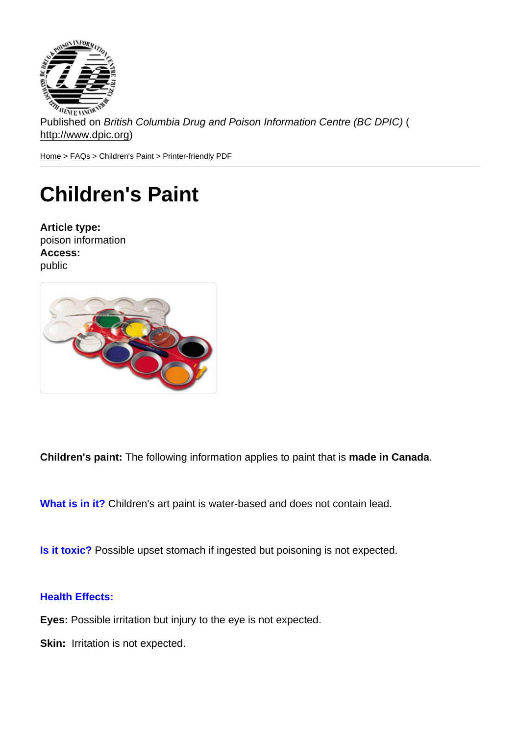Published on British Columbia Drug and Poison Information Centre (BC DPIC) ( http://www.dpic.org)

Home > FAQs > Children's Paint > Printer-friendly PDF

## [Ch](http://www.dpic.org/)[ildr](http://www.dpic.org/faq)en's Paint

Article type: poison information Access: public

Children's paint: The following information applies to paint that is made in Canada .

What is in it? Children's art paint is water-based and does not contain lead.

Is it toxic? Possible upset stomach if ingested but poisoning is not expected.

## Health Effects:

Eyes: Possible irritation but injury to the eye is not expected.

Skin: Irritation is not expected.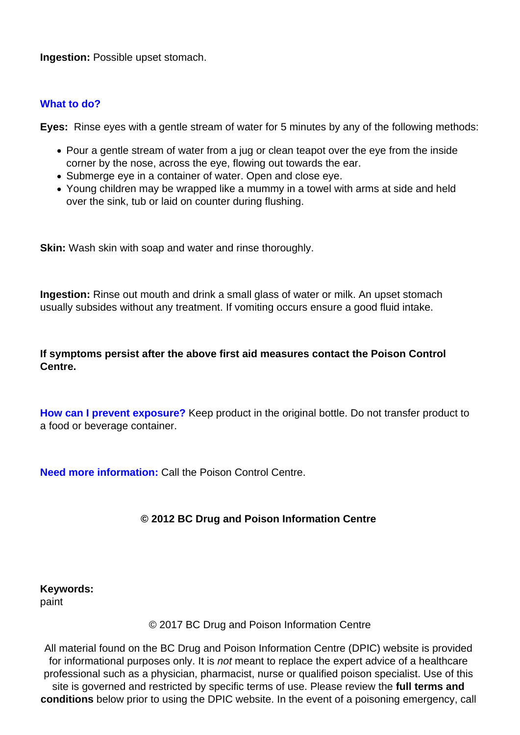**Ingestion: Possible upset stomach.** 

## **What to do?**

**Eyes:** Rinse eyes with a gentle stream of water for 5 minutes by any of the following methods:

- Pour a gentle stream of water from a jug or clean teapot over the eye from the inside corner by the nose, across the eye, flowing out towards the ear.
- Submerge eye in a container of water. Open and close eye.
- Young children may be wrapped like a mummy in a towel with arms at side and held over the sink, tub or laid on counter during flushing.

**Skin:** Wash skin with soap and water and rinse thoroughly.

**Ingestion:** Rinse out mouth and drink a small glass of water or milk. An upset stomach usually subsides without any treatment. If vomiting occurs ensure a good fluid intake.

**If symptoms persist after the above first aid measures contact the Poison Control Centre.**

**How can I prevent exposure?** Keep product in the original bottle. Do not transfer product to a food or beverage container.

**Need more information:** Call the Poison Control Centre.

## **© 2012 BC Drug and Poison Information Centre**

**Keywords:**  paint

© 2017 BC Drug and Poison Information Centre

All material found on the BC Drug and Poison Information Centre (DPIC) website is provided for informational purposes only. It is *not* meant to replace the expert advice of a healthcare professional such as a physician, pharmacist, nurse or qualified poison specialist. Use of this site is governed and restricted by specific terms of use. Please review the **full terms and conditions** below prior to using the DPIC website. In the event of a poisoning emergency, call